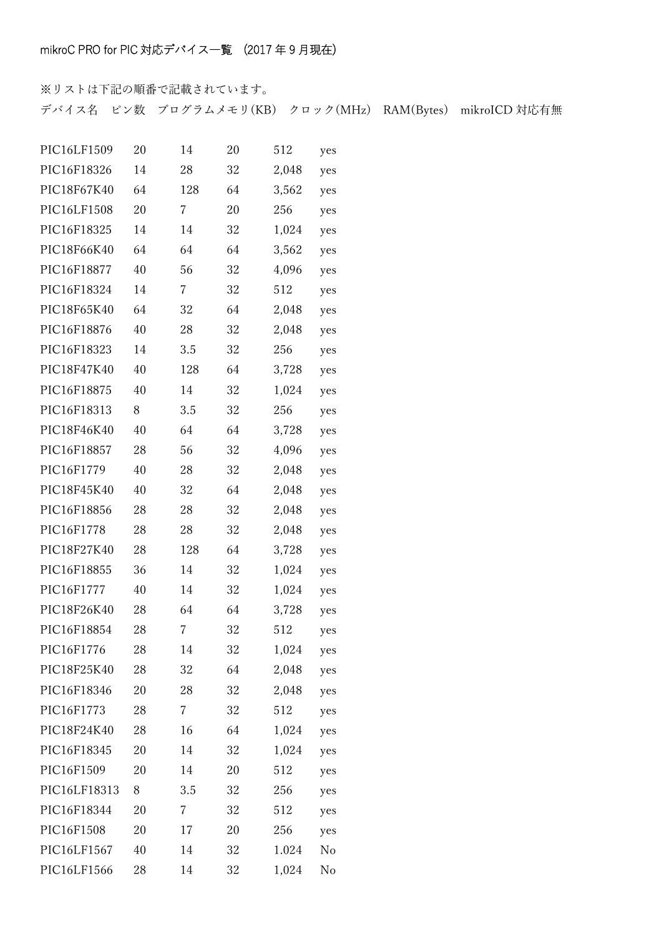※リストは下記の順番で記載されています。 デバイス名 ピン数 プログラムメモリ(KB) クロック(MHz) RAM(Bytes) mikroICD 対応有無

| PIC16LF1509  | 20 | 14  | 20 | 512   | yes |
|--------------|----|-----|----|-------|-----|
| PIC16F18326  | 14 | 28  | 32 | 2,048 | yes |
| PIC18F67K40  | 64 | 128 | 64 | 3,562 | yes |
| PIC16LF1508  | 20 | 7   | 20 | 256   | yes |
| PIC16F18325  | 14 | 14  | 32 | 1,024 | yes |
| PIC18F66K40  | 64 | 64  | 64 | 3,562 | yes |
| PIC16F18877  | 40 | 56  | 32 | 4,096 | yes |
| PIC16F18324  | 14 | 7   | 32 | 512   | yes |
| PIC18F65K40  | 64 | 32  | 64 | 2,048 | yes |
| PIC16F18876  | 40 | 28  | 32 | 2,048 | yes |
| PIC16F18323  | 14 | 3.5 | 32 | 256   | yes |
| PIC18F47K40  | 40 | 128 | 64 | 3,728 | yes |
| PIC16F18875  | 40 | 14  | 32 | 1,024 | yes |
| PIC16F18313  | 8  | 3.5 | 32 | 256   | yes |
| PIC18F46K40  | 40 | 64  | 64 | 3,728 | yes |
| PIC16F18857  | 28 | 56  | 32 | 4,096 | yes |
| PIC16F1779   | 40 | 28  | 32 | 2,048 | yes |
| PIC18F45K40  | 40 | 32  | 64 | 2,048 | yes |
| PIC16F18856  | 28 | 28  | 32 | 2,048 | yes |
| PIC16F1778   | 28 | 28  | 32 | 2,048 | yes |
| PIC18F27K40  | 28 | 128 | 64 | 3,728 | yes |
| PIC16F18855  | 36 | 14  | 32 | 1,024 | yes |
| PIC16F1777   | 40 | 14  | 32 | 1,024 | yes |
| PIC18F26K40  | 28 | 64  | 64 | 3,728 | yes |
| PIC16F18854  | 28 | 7   | 32 | 512   | yes |
| PIC16F1776   | 28 | 14  | 32 | 1,024 | yes |
| PIC18F25K40  | 28 | 32  | 64 | 2,048 | yes |
| PIC16F18346  | 20 | 28  | 32 | 2,048 | yes |
| PIC16F1773   | 28 | 7   | 32 | 512   | yes |
| PIC18F24K40  | 28 | 16  | 64 | 1,024 | yes |
| PIC16F18345  | 20 | 14  | 32 | 1,024 | yes |
| PIC16F1509   | 20 | 14  | 20 | 512   | yes |
| PIC16LF18313 | 8  | 3.5 | 32 | 256   | yes |
| PIC16F18344  | 20 | 7   | 32 | 512   | yes |
| PIC16F1508   | 20 | 17  | 20 | 256   | yes |
| PIC16LF1567  | 40 | 14  | 32 | 1.024 | No  |
| PIC16LF1566  | 28 | 14  | 32 | 1,024 | No  |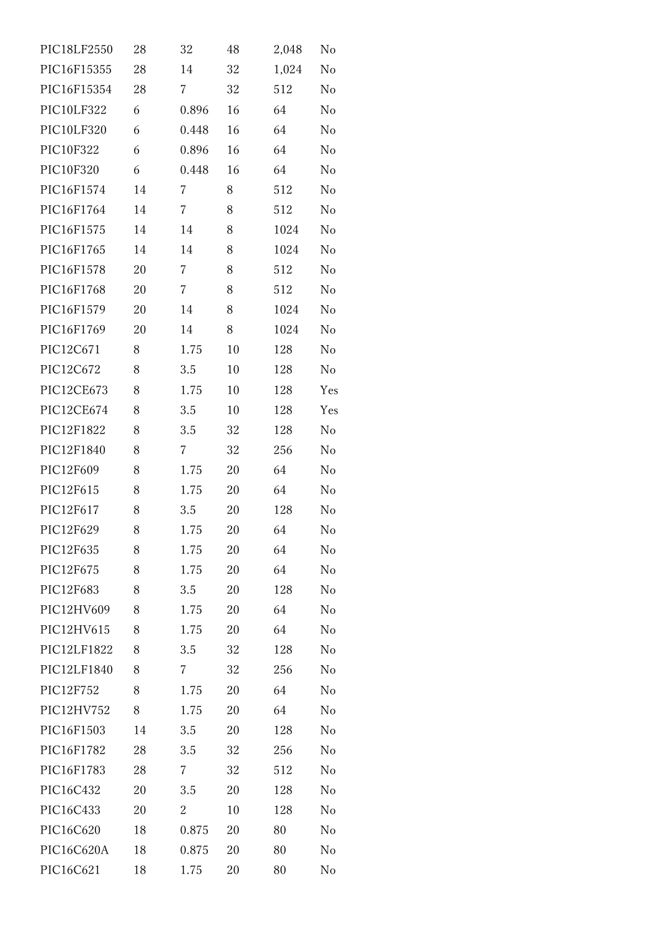| PIC18LF2550 | 28 | 32    | 48 | 2,048 | $\rm No$       |
|-------------|----|-------|----|-------|----------------|
| PIC16F15355 | 28 | 14    | 32 | 1,024 | No             |
| PIC16F15354 | 28 | 7     | 32 | 512   | No             |
| PIC10LF322  | 6  | 0.896 | 16 | 64    | No             |
| PIC10LF320  | 6  | 0.448 | 16 | 64    | No             |
| PIC10F322   | 6  | 0.896 | 16 | 64    | No             |
| PIC10F320   | 6  | 0.448 | 16 | 64    | No             |
| PIC16F1574  | 14 | 7     | 8  | 512   | No             |
| PIC16F1764  | 14 | 7     | 8  | 512   | No             |
| PIC16F1575  | 14 | 14    | 8  | 1024  | N <sub>o</sub> |
| PIC16F1765  | 14 | 14    | 8  | 1024  | No             |
| PIC16F1578  | 20 | 7     | 8  | 512   | No             |
| PIC16F1768  | 20 | 7     | 8  | 512   | No             |
| PIC16F1579  | 20 | 14    | 8  | 1024  | N <sub>o</sub> |
| PIC16F1769  | 20 | 14    | 8  | 1024  | No             |
| PIC12C671   | 8  | 1.75  | 10 | 128   | No             |
| PIC12C672   | 8  | 3.5   | 10 | 128   | No             |
| PIC12CE673  | 8  | 1.75  | 10 | 128   | Yes            |
| PIC12CE674  | 8  | 3.5   | 10 | 128   | Yes            |
| PIC12F1822  | 8  | 3.5   | 32 | 128   | N <sub>o</sub> |
| PIC12F1840  | 8  | 7     | 32 | 256   | No             |
| PIC12F609   | 8  | 1.75  | 20 | 64    | No             |
| PIC12F615   | 8  | 1.75  | 20 | 64    | No             |
| PIC12F617   | 8  | 3.5   | 20 | 128   | No             |
| PIC12F629   | 8  | 1.75  | 20 | 64    | No             |
| PIC12F635   | 8  | 1.75  | 20 | 64    | No             |
| PIC12F675   | 8  | 1.75  | 20 | 64    | $\rm No$       |
| PIC12F683   | 8  | 3.5   | 20 | 128   | No             |
| PIC12HV609  | 8  | 1.75  | 20 | 64    | $\rm No$       |
| PIC12HV615  | 8  | 1.75  | 20 | 64    | No             |
| PIC12LF1822 | 8  | 3.5   | 32 | 128   | No             |
| PIC12LF1840 | 8  | 7     | 32 | 256   | No             |
| PIC12F752   | 8  | 1.75  | 20 | 64    | No             |
| PIC12HV752  | 8  | 1.75  | 20 | 64    | No             |
| PIC16F1503  | 14 | 3.5   | 20 | 128   | No             |
| PIC16F1782  | 28 | 3.5   | 32 | 256   | No             |
| PIC16F1783  | 28 | 7     | 32 | 512   | No             |
| PIC16C432   | 20 | 3.5   | 20 | 128   | No             |
| PIC16C433   | 20 | 2     | 10 | 128   | No             |
| PIC16C620   | 18 | 0.875 | 20 | 80    | No             |
| PIC16C620A  | 18 | 0.875 | 20 | 80    | $\rm No$       |
| PIC16C621   | 18 | 1.75  | 20 | 80    | $\rm No$       |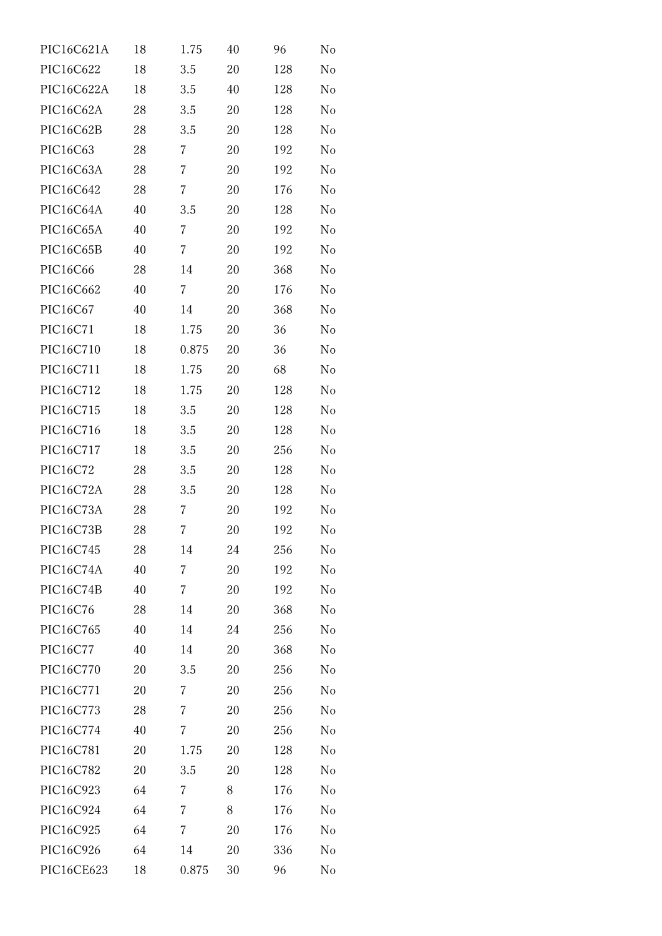| PIC16C621A | 18 | 1.75    | 40 | 96  | No             |
|------------|----|---------|----|-----|----------------|
| PIC16C622  | 18 | 3.5     | 20 | 128 | No             |
| PIC16C622A | 18 | 3.5     | 40 | 128 | No             |
| PIC16C62A  | 28 | 3.5     | 20 | 128 | No             |
| PIC16C62B  | 28 | 3.5     | 20 | 128 | No             |
| PIC16C63   | 28 | 7       | 20 | 192 | No             |
| PIC16C63A  | 28 | 7       | 20 | 192 | No             |
| PIC16C642  | 28 | 7       | 20 | 176 | No             |
| PIC16C64A  | 40 | 3.5     | 20 | 128 | No             |
| PIC16C65A  | 40 | 7       | 20 | 192 | No             |
| PIC16C65B  | 40 | 7       | 20 | 192 | No             |
| PIC16C66   | 28 | 14      | 20 | 368 | No             |
| PIC16C662  | 40 | 7       | 20 | 176 | No             |
| PIC16C67   | 40 | 14      | 20 | 368 | No             |
| PIC16C71   | 18 | 1.75    | 20 | 36  | No             |
| PIC16C710  | 18 | 0.875   | 20 | 36  | No             |
| PIC16C711  | 18 | 1.75    | 20 | 68  | No             |
| PIC16C712  | 18 | 1.75    | 20 | 128 | No             |
| PIC16C715  | 18 | 3.5     | 20 | 128 | No             |
| PIC16C716  | 18 | 3.5     | 20 | 128 | No             |
| PIC16C717  | 18 | $3.5\,$ | 20 | 256 | No             |
| PIC16C72   | 28 | 3.5     | 20 | 128 | No             |
| PIC16C72A  | 28 | 3.5     | 20 | 128 | N <sub>o</sub> |
| PIC16C73A  | 28 | 7       | 20 | 192 | No             |
| PIC16C73B  | 28 | 7       | 20 | 192 | No             |
| PIC16C745  | 28 | 14      | 24 | 256 | No             |
| PIC16C74A  | 40 | 7       | 20 | 192 | No             |
| PIC16C74B  | 40 | 7       | 20 | 192 | No             |
| PIC16C76   | 28 | 14      | 20 | 368 | No             |
| PIC16C765  | 40 | 14      | 24 | 256 | No             |
| PIC16C77   | 40 | 14      | 20 | 368 | No             |
| PIC16C770  | 20 | 3.5     | 20 | 256 | No             |
| PIC16C771  | 20 | 7       | 20 | 256 | No             |
| PIC16C773  | 28 | 7       | 20 | 256 | No             |
| PIC16C774  | 40 | 7       | 20 | 256 | No             |
| PIC16C781  | 20 | 1.75    | 20 | 128 | No             |
| PIC16C782  | 20 | 3.5     | 20 | 128 | No             |
| PIC16C923  | 64 | 7       | 8  | 176 | No             |
| PIC16C924  | 64 | 7       | 8  | 176 | No             |
| PIC16C925  | 64 | 7       | 20 | 176 | No             |
| PIC16C926  | 64 | 14      | 20 | 336 | $\rm No$       |
| PIC16CE623 | 18 | 0.875   | 30 | 96  | $\rm No$       |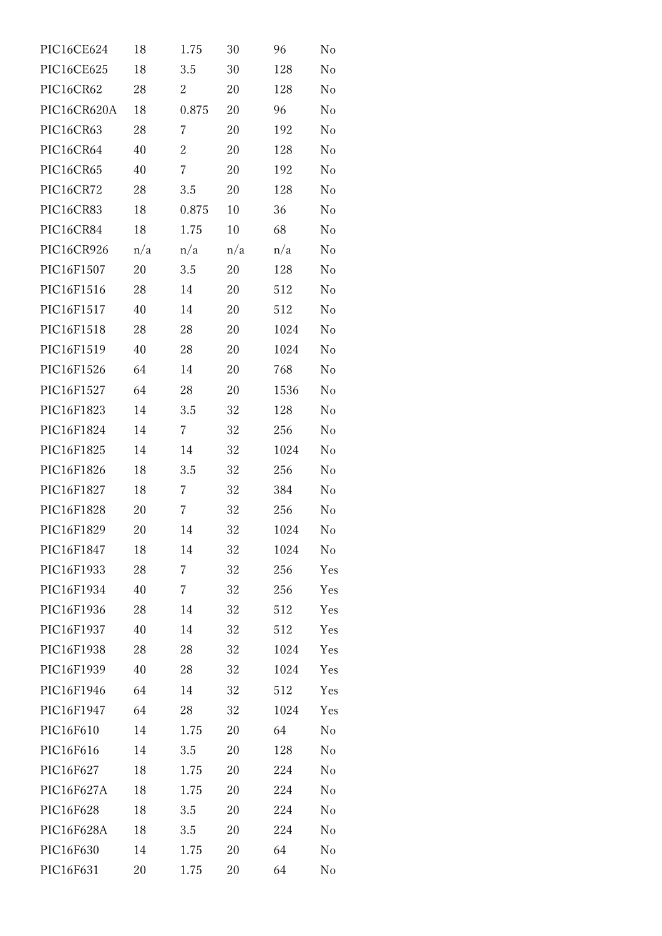| PIC16CE624  | 18  | 1.75           | 30  | 96   | No             |
|-------------|-----|----------------|-----|------|----------------|
| PIC16CE625  | 18  | 3.5            | 30  | 128  | N <sub>o</sub> |
| PIC16CR62   | 28  | 2              | 20  | 128  | No             |
| PIC16CR620A | 18  | 0.875          | 20  | 96   | N <sub>o</sub> |
| PIC16CR63   | 28  | 7              | 20  | 192  | No             |
| PIC16CR64   | 40  | 2              | 20  | 128  | N <sub>o</sub> |
| PIC16CR65   | 40  | $\overline{7}$ | 20  | 192  | No             |
| PIC16CR72   | 28  | 3.5            | 20  | 128  | No             |
| PIC16CR83   | 18  | 0.875          | 10  | 36   | No             |
| PIC16CR84   | 18  | 1.75           | 10  | 68   | No             |
| PIC16CR926  | n/a | n/a            | n/a | n/a  | No             |
| PIC16F1507  | 20  | 3.5            | 20  | 128  | No             |
| PIC16F1516  | 28  | 14             | 20  | 512  | No             |
| PIC16F1517  | 40  | 14             | 20  | 512  | No             |
| PIC16F1518  | 28  | 28             | 20  | 1024 | No             |
| PIC16F1519  | 40  | 28             | 20  | 1024 | N <sub>o</sub> |
| PIC16F1526  | 64  | 14             | 20  | 768  | No             |
| PIC16F1527  | 64  | 28             | 20  | 1536 | No             |
| PIC16F1823  | 14  | 3.5            | 32  | 128  | No             |
| PIC16F1824  | 14  | 7              | 32  | 256  | No             |
| PIC16F1825  | 14  | 14             | 32  | 1024 | No             |
| PIC16F1826  | 18  | 3.5            | 32  | 256  | No             |
| PIC16F1827  | 18  | 7              | 32  | 384  | N <sub>o</sub> |
| PIC16F1828  | 20  | 7              | 32  | 256  | No             |
| PIC16F1829  | 20  | 14             | 32  | 1024 | No             |
| PIC16F1847  | 18  | 14             | 32  | 1024 | No             |
| PIC16F1933  | 28  | 7              | 32  | 256  | Yes            |
| PIC16F1934  | 40  | 7              | 32  | 256  | Yes            |
| PIC16F1936  | 28  | 14             | 32  | 512  | Yes            |
| PIC16F1937  | 40  | 14             | 32  | 512  | Yes            |
| PIC16F1938  | 28  | 28             | 32  | 1024 | Yes            |
| PIC16F1939  | 40  | 28             | 32  | 1024 | Yes            |
| PIC16F1946  | 64  | 14             | 32  | 512  | Yes            |
| PIC16F1947  | 64  | 28             | 32  | 1024 | Yes            |
| PIC16F610   | 14  | 1.75           | 20  | 64   | No             |
| PIC16F616   | 14  | 3.5            | 20  | 128  | No             |
| PIC16F627   | 18  | 1.75           | 20  | 224  | No             |
| PIC16F627A  | 18  | 1.75           | 20  | 224  | No             |
| PIC16F628   | 18  | 3.5            | 20  | 224  | No             |
| PIC16F628A  | 18  | 3.5            | 20  | 224  | No             |
| PIC16F630   | 14  | 1.75           | 20  | 64   | No             |
| PIC16F631   | 20  | 1.75           | 20  | 64   | No             |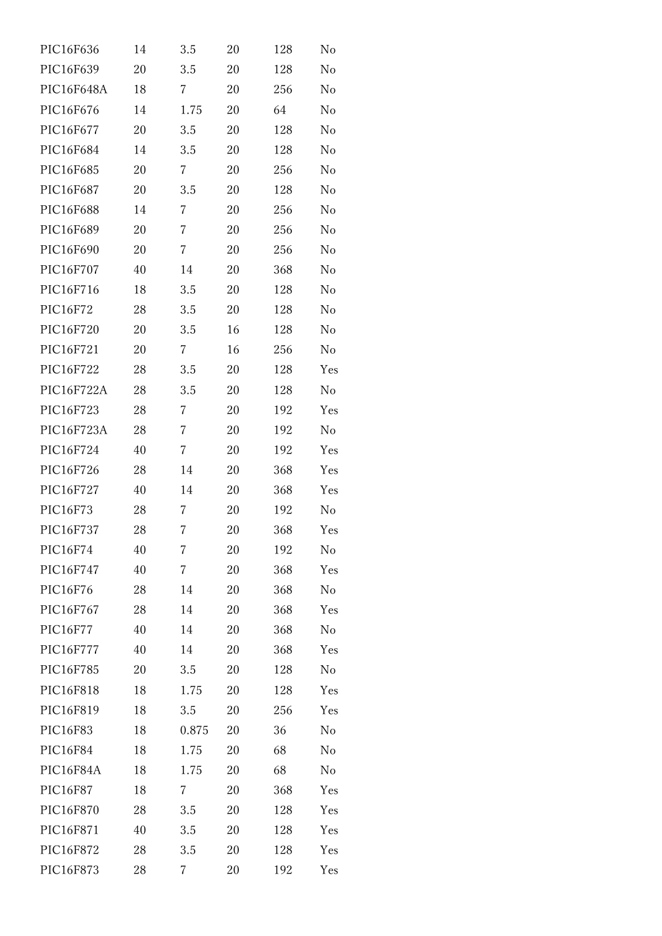| PIC16F636  | 14 | 3.5            | 20 | 128 | No             |
|------------|----|----------------|----|-----|----------------|
| PIC16F639  | 20 | 3.5            | 20 | 128 | N <sub>o</sub> |
| PIC16F648A | 18 | 7              | 20 | 256 | No             |
| PIC16F676  | 14 | 1.75           | 20 | 64  | No             |
| PIC16F677  | 20 | 3.5            | 20 | 128 | No             |
| PIC16F684  | 14 | 3.5            | 20 | 128 | No             |
| PIC16F685  | 20 | 7              | 20 | 256 | No             |
| PIC16F687  | 20 | 3.5            | 20 | 128 | No             |
| PIC16F688  | 14 | 7              | 20 | 256 | No             |
| PIC16F689  | 20 | 7              | 20 | 256 | No             |
| PIC16F690  | 20 | 7              | 20 | 256 | No             |
| PIC16F707  | 40 | 14             | 20 | 368 | No             |
| PIC16F716  | 18 | 3.5            | 20 | 128 | No             |
| PIC16F72   | 28 | 3.5            | 20 | 128 | No             |
| PIC16F720  | 20 | 3.5            | 16 | 128 | No             |
| PIC16F721  | 20 | $\overline{7}$ | 16 | 256 | No             |
| PIC16F722  | 28 | 3.5            | 20 | 128 | Yes            |
| PIC16F722A | 28 | 3.5            | 20 | 128 | No             |
| PIC16F723  | 28 | 7              | 20 | 192 | Yes            |
| PIC16F723A | 28 | 7              | 20 | 192 | No             |
| PIC16F724  | 40 | 7              | 20 | 192 | Yes            |
| PIC16F726  | 28 | 14             | 20 | 368 | Yes            |
| PIC16F727  | 40 | 14             | 20 | 368 | Yes            |
| PIC16F73   | 28 | 7              | 20 | 192 | No             |
| PIC16F737  | 28 | 7              | 20 | 368 | Yes            |
| PIC16F74   | 40 | 7              | 20 | 192 | No             |
| PIC16F747  | 40 | $\overline{7}$ | 20 | 368 | Yes            |
| PIC16F76   | 28 | 14             | 20 | 368 | No             |
| PIC16F767  | 28 | 14             | 20 | 368 | Yes            |
| PIC16F77   | 40 | 14             | 20 | 368 | No             |
| PIC16F777  | 40 | 14             | 20 | 368 | Yes            |
| PIC16F785  | 20 | 3.5            | 20 | 128 | No             |
| PIC16F818  | 18 | 1.75           | 20 | 128 | Yes            |
| PIC16F819  | 18 | 3.5            | 20 | 256 | Yes            |
| PIC16F83   | 18 | 0.875          | 20 | 36  | No             |
| PIC16F84   | 18 | 1.75           | 20 | 68  | No             |
| PIC16F84A  | 18 | 1.75           | 20 | 68  | No             |
| PIC16F87   | 18 | 7              | 20 | 368 | Yes            |
| PIC16F870  | 28 | 3.5            | 20 | 128 | Yes            |
| PIC16F871  | 40 | 3.5            | 20 | 128 | Yes            |
| PIC16F872  | 28 | 3.5            | 20 | 128 | Yes            |
| PIC16F873  | 28 | 7              | 20 | 192 | Yes            |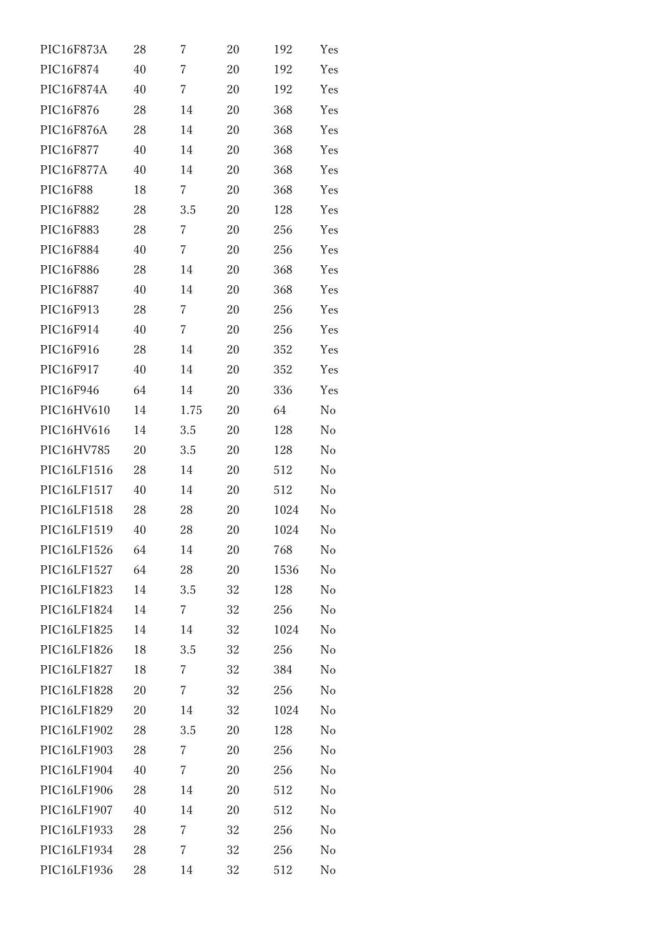| PIC16F873A  | 28 | 7    | 20 | 192  | Yes      |
|-------------|----|------|----|------|----------|
| PIC16F874   | 40 | 7    | 20 | 192  | Yes      |
| PIC16F874A  | 40 | 7    | 20 | 192  | Yes      |
| PIC16F876   | 28 | 14   | 20 | 368  | Yes      |
| PIC16F876A  | 28 | 14   | 20 | 368  | Yes      |
| PIC16F877   | 40 | 14   | 20 | 368  | Yes      |
| PIC16F877A  | 40 | 14   | 20 | 368  | Yes      |
| PIC16F88    | 18 | 7    | 20 | 368  | Yes      |
| PIC16F882   | 28 | 3.5  | 20 | 128  | Yes      |
| PIC16F883   | 28 | 7    | 20 | 256  | Yes      |
| PIC16F884   | 40 | 7    | 20 | 256  | Yes      |
| PIC16F886   | 28 | 14   | 20 | 368  | Yes      |
| PIC16F887   | 40 | 14   | 20 | 368  | Yes      |
| PIC16F913   | 28 | 7    | 20 | 256  | Yes      |
| PIC16F914   | 40 | 7    | 20 | 256  | Yes      |
| PIC16F916   | 28 | 14   | 20 | 352  | Yes      |
| PIC16F917   | 40 | 14   | 20 | 352  | Yes      |
| PIC16F946   | 64 | 14   | 20 | 336  | Yes      |
| PIC16HV610  | 14 | 1.75 | 20 | 64   | No       |
| PIC16HV616  | 14 | 3.5  | 20 | 128  | No       |
| PIC16HV785  | 20 | 3.5  | 20 | 128  | No       |
| PIC16LF1516 | 28 | 14   | 20 | 512  | No       |
| PIC16LF1517 | 40 | 14   | 20 | 512  | No       |
| PIC16LF1518 | 28 | 28   | 20 | 1024 | No       |
| PIC16LF1519 | 40 | 28   | 20 | 1024 | No       |
| PIC16LF1526 | 64 | 14   | 20 | 768  | No       |
| PIC16LF1527 | 64 | 28   | 20 | 1536 | No       |
| PIC16LF1823 | 14 | 3.5  | 32 | 128  | No       |
| PIC16LF1824 | 14 | 7    | 32 | 256  | No       |
| PIC16LF1825 | 14 | 14   | 32 | 1024 | No       |
| PIC16LF1826 | 18 | 3.5  | 32 | 256  | $\rm No$ |
| PIC16LF1827 | 18 | 7    | 32 | 384  | No       |
| PIC16LF1828 | 20 | 7    | 32 | 256  | No       |
| PIC16LF1829 | 20 | 14   | 32 | 1024 | No       |
| PIC16LF1902 | 28 | 3.5  | 20 | 128  | No       |
| PIC16LF1903 | 28 | 7    | 20 | 256  | No       |
| PIC16LF1904 | 40 | 7    | 20 | 256  | No       |
| PIC16LF1906 | 28 | 14   | 20 | 512  | No       |
| PIC16LF1907 | 40 | 14   | 20 | 512  | No       |
| PIC16LF1933 | 28 | 7    | 32 | 256  | No       |
| PIC16LF1934 | 28 | 7    | 32 | 256  | $\rm No$ |
| PIC16LF1936 | 28 | 14   | 32 | 512  | No       |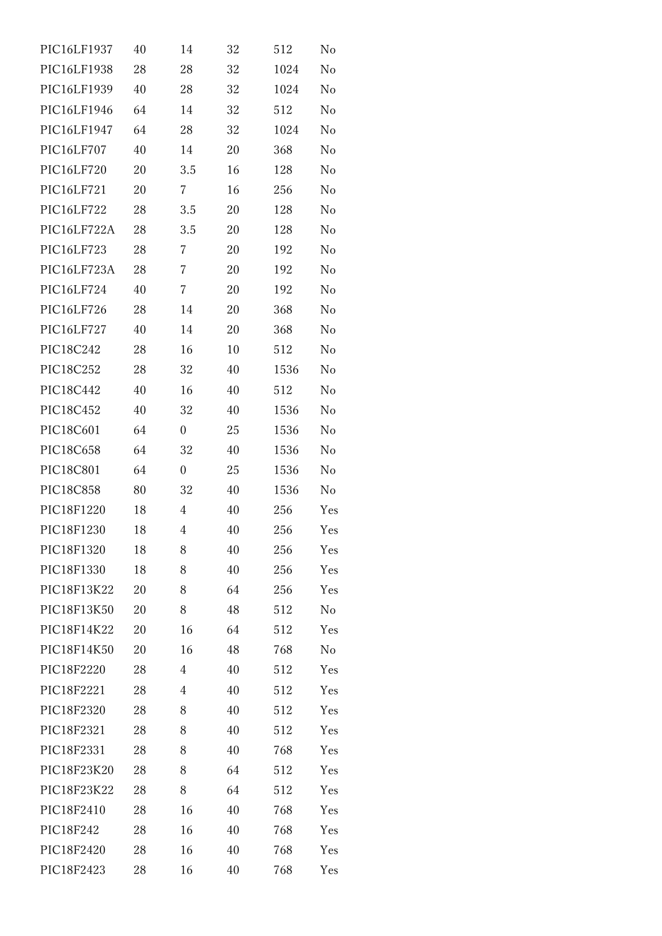| PIC16LF1937 | 40 | 14               | 32 | 512  | No  |
|-------------|----|------------------|----|------|-----|
| PIC16LF1938 | 28 | 28               | 32 | 1024 | No  |
| PIC16LF1939 | 40 | 28               | 32 | 1024 | No  |
| PIC16LF1946 | 64 | 14               | 32 | 512  | No  |
| PIC16LF1947 | 64 | 28               | 32 | 1024 | No  |
| PIC16LF707  | 40 | 14               | 20 | 368  | No  |
| PIC16LF720  | 20 | 3.5              | 16 | 128  | No  |
| PIC16LF721  | 20 | 7                | 16 | 256  | No  |
| PIC16LF722  | 28 | 3.5              | 20 | 128  | No  |
| PIC16LF722A | 28 | 3.5              | 20 | 128  | No  |
| PIC16LF723  | 28 | 7                | 20 | 192  | No  |
| PIC16LF723A | 28 | 7                | 20 | 192  | No  |
| PIC16LF724  | 40 | 7                | 20 | 192  | No  |
| PIC16LF726  | 28 | 14               | 20 | 368  | No  |
| PIC16LF727  | 40 | 14               | 20 | 368  | No  |
| PIC18C242   | 28 | 16               | 10 | 512  | No  |
| PIC18C252   | 28 | 32               | 40 | 1536 | No  |
| PIC18C442   | 40 | 16               | 40 | 512  | No  |
| PIC18C452   | 40 | 32               | 40 | 1536 | No  |
| PIC18C601   | 64 | $\boldsymbol{0}$ | 25 | 1536 | No  |
| PIC18C658   | 64 | 32               | 40 | 1536 | No  |
| PIC18C801   | 64 | $\boldsymbol{0}$ | 25 | 1536 | No  |
| PIC18C858   | 80 | 32               | 40 | 1536 | No  |
| PIC18F1220  | 18 | $\overline{4}$   | 40 | 256  | Yes |
| PIC18F1230  | 18 | 4                | 40 | 256  | Yes |
| PIC18F1320  | 18 | 8                | 40 | 256  | Yes |
| PIC18F1330  | 18 | 8                | 40 | 256  | Yes |
| PIC18F13K22 | 20 | 8                | 64 | 256  | Yes |
| PIC18F13K50 | 20 | 8                | 48 | 512  | No  |
| PIC18F14K22 | 20 | 16               | 64 | 512  | Yes |
| PIC18F14K50 | 20 | 16               | 48 | 768  | No  |
| PIC18F2220  | 28 | 4                | 40 | 512  | Yes |
| PIC18F2221  | 28 | 4                | 40 | 512  | Yes |
| PIC18F2320  | 28 | 8                | 40 | 512  | Yes |
| PIC18F2321  | 28 | 8                | 40 | 512  | Yes |
| PIC18F2331  | 28 | 8                | 40 | 768  | Yes |
| PIC18F23K20 | 28 | 8                | 64 | 512  | Yes |
| PIC18F23K22 | 28 | 8                | 64 | 512  | Yes |
| PIC18F2410  | 28 | 16               | 40 | 768  | Yes |
| PIC18F242   | 28 | 16               | 40 | 768  | Yes |
| PIC18F2420  | 28 | 16               | 40 | 768  | Yes |
| PIC18F2423  | 28 | 16               | 40 | 768  | Yes |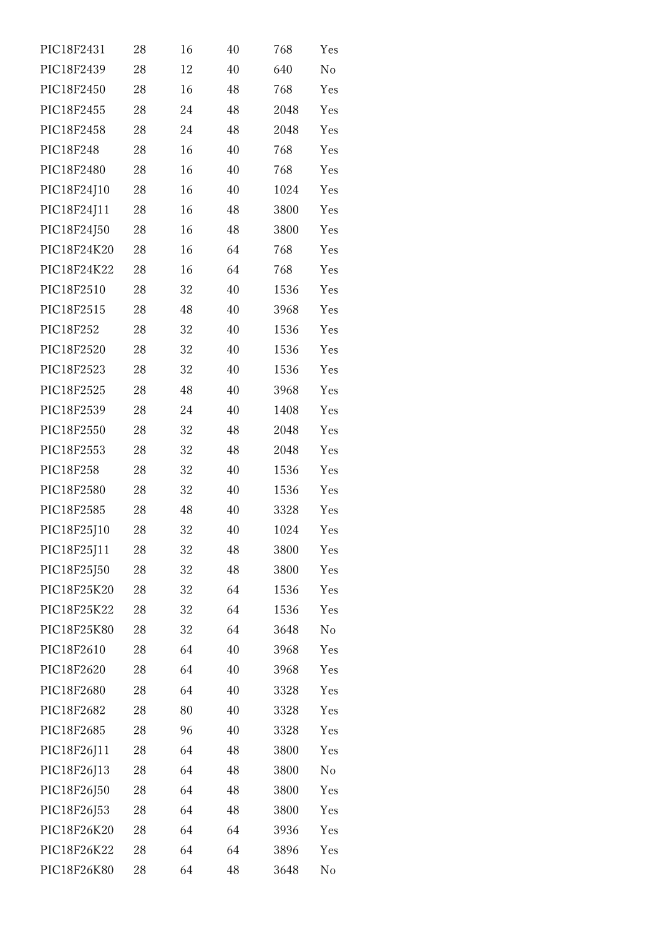| PIC18F2431  | 28 | 16 | 40 | 768  | Yes            |
|-------------|----|----|----|------|----------------|
| PIC18F2439  | 28 | 12 | 40 | 640  | N <sub>o</sub> |
| PIC18F2450  | 28 | 16 | 48 | 768  | Yes            |
| PIC18F2455  | 28 | 24 | 48 | 2048 | Yes            |
| PIC18F2458  | 28 | 24 | 48 | 2048 | Yes            |
| PIC18F248   | 28 | 16 | 40 | 768  | Yes            |
| PIC18F2480  | 28 | 16 | 40 | 768  | Yes            |
| PIC18F24J10 | 28 | 16 | 40 | 1024 | Yes            |
| PIC18F24J11 | 28 | 16 | 48 | 3800 | Yes            |
| PIC18F24J50 | 28 | 16 | 48 | 3800 | Yes            |
| PIC18F24K20 | 28 | 16 | 64 | 768  | Yes            |
| PIC18F24K22 | 28 | 16 | 64 | 768  | Yes            |
| PIC18F2510  | 28 | 32 | 40 | 1536 | Yes            |
| PIC18F2515  | 28 | 48 | 40 | 3968 | Yes            |
| PIC18F252   | 28 | 32 | 40 | 1536 | Yes            |
| PIC18F2520  | 28 | 32 | 40 | 1536 | Yes            |
| PIC18F2523  | 28 | 32 | 40 | 1536 | Yes            |
| PIC18F2525  | 28 | 48 | 40 | 3968 | Yes            |
| PIC18F2539  | 28 | 24 | 40 | 1408 | Yes            |
| PIC18F2550  | 28 | 32 | 48 | 2048 | Yes            |
| PIC18F2553  | 28 | 32 | 48 | 2048 | Yes            |
| PIC18F258   | 28 | 32 | 40 | 1536 | Yes            |
| PIC18F2580  | 28 | 32 | 40 | 1536 | Yes            |
| PIC18F2585  | 28 | 48 | 40 | 3328 | Yes            |
| PIC18F25J10 | 28 | 32 | 40 | 1024 | Yes            |
| PIC18F25J11 | 28 | 32 | 48 | 3800 | Yes            |
| PIC18F25J50 | 28 | 32 | 48 | 3800 | Yes            |
| PIC18F25K20 | 28 | 32 | 64 | 1536 | Yes            |
| PIC18F25K22 | 28 | 32 | 64 | 1536 | Yes            |
| PIC18F25K80 | 28 | 32 | 64 | 3648 | No             |
| PIC18F2610  | 28 | 64 | 40 | 3968 | Yes            |
| PIC18F2620  | 28 | 64 | 40 | 3968 | Yes            |
| PIC18F2680  | 28 | 64 | 40 | 3328 | Yes            |
| PIC18F2682  | 28 | 80 | 40 | 3328 | Yes            |
| PIC18F2685  | 28 | 96 | 40 | 3328 | Yes            |
| PIC18F26J11 | 28 | 64 | 48 | 3800 | Yes            |
| PIC18F26J13 | 28 | 64 | 48 | 3800 | N <sub>o</sub> |
| PIC18F26J50 | 28 | 64 | 48 | 3800 | Yes            |
| PIC18F26J53 | 28 | 64 | 48 | 3800 | Yes            |
| PIC18F26K20 | 28 | 64 | 64 | 3936 | Yes            |
| PIC18F26K22 | 28 | 64 | 64 | 3896 | Yes            |
| PIC18F26K80 | 28 | 64 | 48 | 3648 | No             |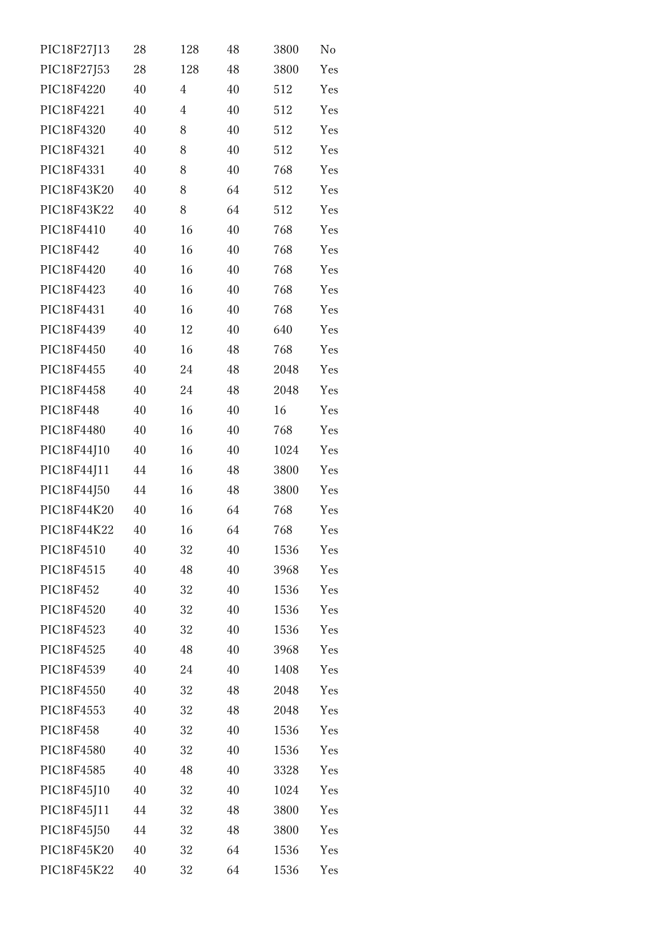| PIC18F27J13 | 28 | 128            | 48 | 3800 | No  |
|-------------|----|----------------|----|------|-----|
| PIC18F27J53 | 28 | 128            | 48 | 3800 | Yes |
| PIC18F4220  | 40 | $\overline{4}$ | 40 | 512  | Yes |
| PIC18F4221  | 40 | 4              | 40 | 512  | Yes |
| PIC18F4320  | 40 | 8              | 40 | 512  | Yes |
| PIC18F4321  | 40 | 8              | 40 | 512  | Yes |
| PIC18F4331  | 40 | 8              | 40 | 768  | Yes |
| PIC18F43K20 | 40 | 8              | 64 | 512  | Yes |
| PIC18F43K22 | 40 | 8              | 64 | 512  | Yes |
| PIC18F4410  | 40 | 16             | 40 | 768  | Yes |
| PIC18F442   | 40 | 16             | 40 | 768  | Yes |
| PIC18F4420  | 40 | 16             | 40 | 768  | Yes |
| PIC18F4423  | 40 | 16             | 40 | 768  | Yes |
| PIC18F4431  | 40 | 16             | 40 | 768  | Yes |
| PIC18F4439  | 40 | 12             | 40 | 640  | Yes |
| PIC18F4450  | 40 | 16             | 48 | 768  | Yes |
| PIC18F4455  | 40 | 24             | 48 | 2048 | Yes |
| PIC18F4458  | 40 | 24             | 48 | 2048 | Yes |
| PIC18F448   | 40 | 16             | 40 | 16   | Yes |
| PIC18F4480  | 40 | 16             | 40 | 768  | Yes |
| PIC18F44J10 | 40 | 16             | 40 | 1024 | Yes |
| PIC18F44J11 | 44 | 16             | 48 | 3800 | Yes |
| PIC18F44J50 | 44 | 16             | 48 | 3800 | Yes |
| PIC18F44K20 | 40 | 16             | 64 | 768  | Yes |
| PIC18F44K22 | 40 | 16             | 64 | 768  | Yes |
| PIC18F4510  | 40 | 32             | 40 | 1536 | Yes |
| PIC18F4515  | 40 | 48             | 40 | 3968 | Yes |
| PIC18F452   | 40 | 32             | 40 | 1536 | Yes |
| PIC18F4520  | 40 | 32             | 40 | 1536 | Yes |
| PIC18F4523  | 40 | 32             | 40 | 1536 | Yes |
| PIC18F4525  | 40 | 48             | 40 | 3968 | Yes |
| PIC18F4539  | 40 | 24             | 40 | 1408 | Yes |
| PIC18F4550  | 40 | 32             | 48 | 2048 | Yes |
| PIC18F4553  | 40 | 32             | 48 | 2048 | Yes |
| PIC18F458   | 40 | 32             | 40 | 1536 | Yes |
| PIC18F4580  | 40 | 32             | 40 | 1536 | Yes |
| PIC18F4585  | 40 | 48             | 40 | 3328 | Yes |
| PIC18F45J10 | 40 | 32             | 40 | 1024 | Yes |
| PIC18F45J11 | 44 | 32             | 48 | 3800 | Yes |
| PIC18F45J50 | 44 | 32             | 48 | 3800 | Yes |
| PIC18F45K20 | 40 | 32             | 64 | 1536 | Yes |
| PIC18F45K22 | 40 | 32             | 64 | 1536 | Yes |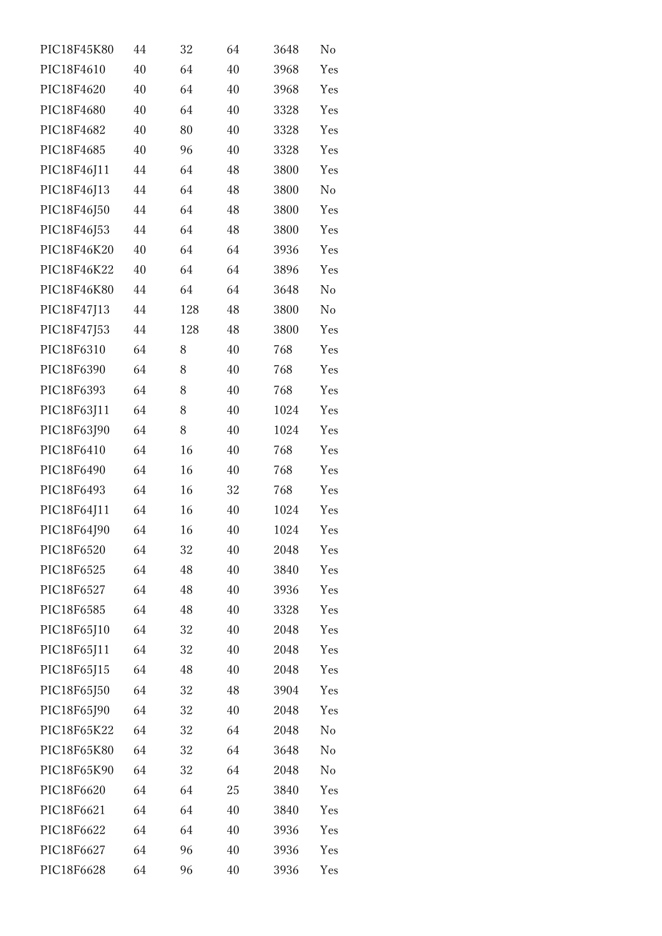| PIC18F45K80 | 44 | 32  | 64 | 3648 | No             |
|-------------|----|-----|----|------|----------------|
| PIC18F4610  | 40 | 64  | 40 | 3968 | Yes            |
| PIC18F4620  | 40 | 64  | 40 | 3968 | Yes            |
| PIC18F4680  | 40 | 64  | 40 | 3328 | Yes            |
| PIC18F4682  | 40 | 80  | 40 | 3328 | Yes            |
| PIC18F4685  | 40 | 96  | 40 | 3328 | Yes            |
| PIC18F46J11 | 44 | 64  | 48 | 3800 | Yes            |
| PIC18F46J13 | 44 | 64  | 48 | 3800 | N <sub>o</sub> |
| PIC18F46J50 | 44 | 64  | 48 | 3800 | Yes            |
| PIC18F46J53 | 44 | 64  | 48 | 3800 | Yes            |
| PIC18F46K20 | 40 | 64  | 64 | 3936 | Yes            |
| PIC18F46K22 | 40 | 64  | 64 | 3896 | Yes            |
| PIC18F46K80 | 44 | 64  | 64 | 3648 | No             |
| PIC18F47J13 | 44 | 128 | 48 | 3800 | N <sub>o</sub> |
| PIC18F47J53 | 44 | 128 | 48 | 3800 | Yes            |
| PIC18F6310  | 64 | 8   | 40 | 768  | Yes            |
| PIC18F6390  | 64 | 8   | 40 | 768  | Yes            |
| PIC18F6393  | 64 | 8   | 40 | 768  | Yes            |
| PIC18F63J11 | 64 | 8   | 40 | 1024 | Yes            |
| PIC18F63J90 | 64 | 8   | 40 | 1024 | Yes            |
| PIC18F6410  | 64 | 16  | 40 | 768  | Yes            |
| PIC18F6490  | 64 | 16  | 40 | 768  | Yes            |
| PIC18F6493  | 64 | 16  | 32 | 768  | Yes            |
| PIC18F64J11 | 64 | 16  | 40 | 1024 | Yes            |
| PIC18F64J90 | 64 | 16  | 40 | 1024 | Yes            |
| PIC18F6520  | 64 | 32  | 40 | 2048 | Yes            |
| PIC18F6525  | 64 | 48  | 40 | 3840 | Yes            |
| PIC18F6527  | 64 | 48  | 40 | 3936 | Yes            |
| PIC18F6585  | 64 | 48  | 40 | 3328 | Yes            |
| PIC18F65J10 | 64 | 32  | 40 | 2048 | Yes            |
| PIC18F65J11 | 64 | 32  | 40 | 2048 | Yes            |
| PIC18F65J15 | 64 | 48  | 40 | 2048 | Yes            |
| PIC18F65J50 | 64 | 32  | 48 | 3904 | Yes            |
| PIC18F65J90 | 64 | 32  | 40 | 2048 | Yes            |
| PIC18F65K22 | 64 | 32  | 64 | 2048 | N <sub>o</sub> |
| PIC18F65K80 | 64 | 32  | 64 | 3648 | No             |
| PIC18F65K90 | 64 | 32  | 64 | 2048 | N <sub>o</sub> |
| PIC18F6620  | 64 | 64  | 25 | 3840 | Yes            |
| PIC18F6621  | 64 | 64  | 40 | 3840 | Yes            |
| PIC18F6622  | 64 | 64  | 40 | 3936 | Yes            |
| PIC18F6627  | 64 | 96  | 40 | 3936 | Yes            |
| PIC18F6628  | 64 | 96  | 40 | 3936 | Yes            |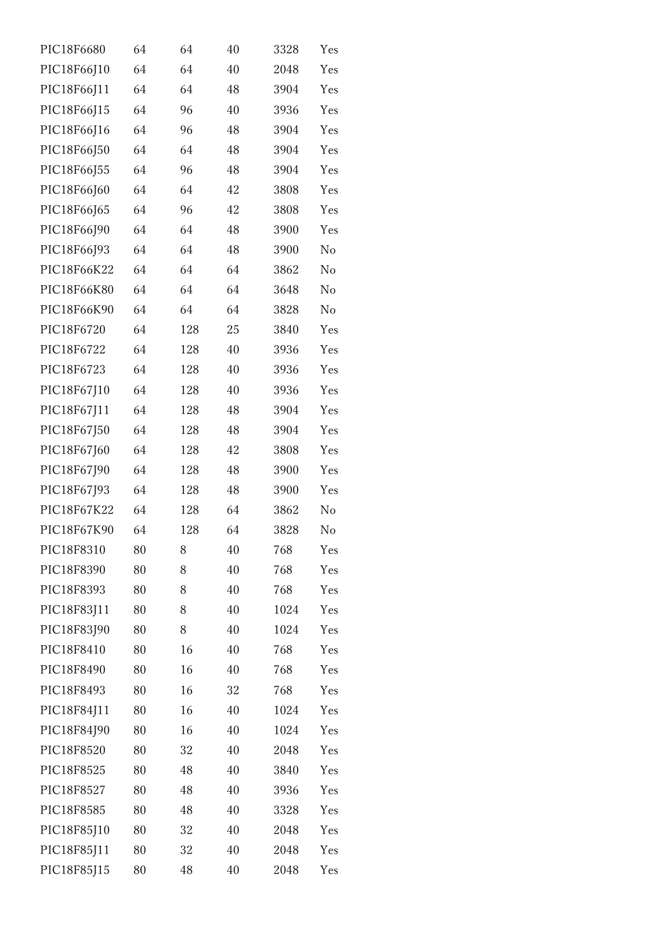| PIC18F6680  | 64 | 64  | 40 | 3328 | Yes            |
|-------------|----|-----|----|------|----------------|
| PIC18F66J10 | 64 | 64  | 40 | 2048 | Yes            |
| PIC18F66J11 | 64 | 64  | 48 | 3904 | Yes            |
| PIC18F66J15 | 64 | 96  | 40 | 3936 | Yes            |
| PIC18F66J16 | 64 | 96  | 48 | 3904 | Yes            |
| PIC18F66J50 | 64 | 64  | 48 | 3904 | Yes            |
| PIC18F66J55 | 64 | 96  | 48 | 3904 | Yes            |
| PIC18F66J60 | 64 | 64  | 42 | 3808 | Yes            |
| PIC18F66J65 | 64 | 96  | 42 | 3808 | Yes            |
| PIC18F66J90 | 64 | 64  | 48 | 3900 | Yes            |
| PIC18F66J93 | 64 | 64  | 48 | 3900 | No             |
| PIC18F66K22 | 64 | 64  | 64 | 3862 | No             |
| PIC18F66K80 | 64 | 64  | 64 | 3648 | No             |
| PIC18F66K90 | 64 | 64  | 64 | 3828 | N <sub>o</sub> |
| PIC18F6720  | 64 | 128 | 25 | 3840 | Yes            |
| PIC18F6722  | 64 | 128 | 40 | 3936 | Yes            |
| PIC18F6723  | 64 | 128 | 40 | 3936 | Yes            |
| PIC18F67J10 | 64 | 128 | 40 | 3936 | Yes            |
| PIC18F67J11 | 64 | 128 | 48 | 3904 | Yes            |
| PIC18F67J50 | 64 | 128 | 48 | 3904 | Yes            |
| PIC18F67J60 | 64 | 128 | 42 | 3808 | Yes            |
| PIC18F67J90 | 64 | 128 | 48 | 3900 | Yes            |
| PIC18F67J93 | 64 | 128 | 48 | 3900 | Yes            |
| PIC18F67K22 | 64 | 128 | 64 | 3862 | N <sub>o</sub> |
| PIC18F67K90 | 64 | 128 | 64 | 3828 | No             |
| PIC18F8310  | 80 | 8   | 40 | 768  | Yes            |
| PIC18F8390  | 80 | 8   | 40 | 768  | Yes            |
| PIC18F8393  | 80 | 8   | 40 | 768  | Yes            |
| PIC18F83J11 | 80 | 8   | 40 | 1024 | Yes            |
| PIC18F83J90 | 80 | 8   | 40 | 1024 | Yes            |
| PIC18F8410  | 80 | 16  | 40 | 768  | Yes            |
| PIC18F8490  | 80 | 16  | 40 | 768  | Yes            |
| PIC18F8493  | 80 | 16  | 32 | 768  | Yes            |
| PIC18F84J11 | 80 | 16  | 40 | 1024 | Yes            |
| PIC18F84J90 | 80 | 16  | 40 | 1024 | Yes            |
| PIC18F8520  | 80 | 32  | 40 | 2048 | Yes            |
| PIC18F8525  | 80 | 48  | 40 | 3840 | Yes            |
| PIC18F8527  | 80 | 48  | 40 | 3936 | Yes            |
| PIC18F8585  | 80 | 48  | 40 | 3328 | Yes            |
| PIC18F85J10 | 80 | 32  | 40 | 2048 | Yes            |
| PIC18F85J11 | 80 | 32  | 40 | 2048 | Yes            |
| PIC18F85J15 | 80 | 48  | 40 | 2048 | Yes            |
|             |    |     |    |      |                |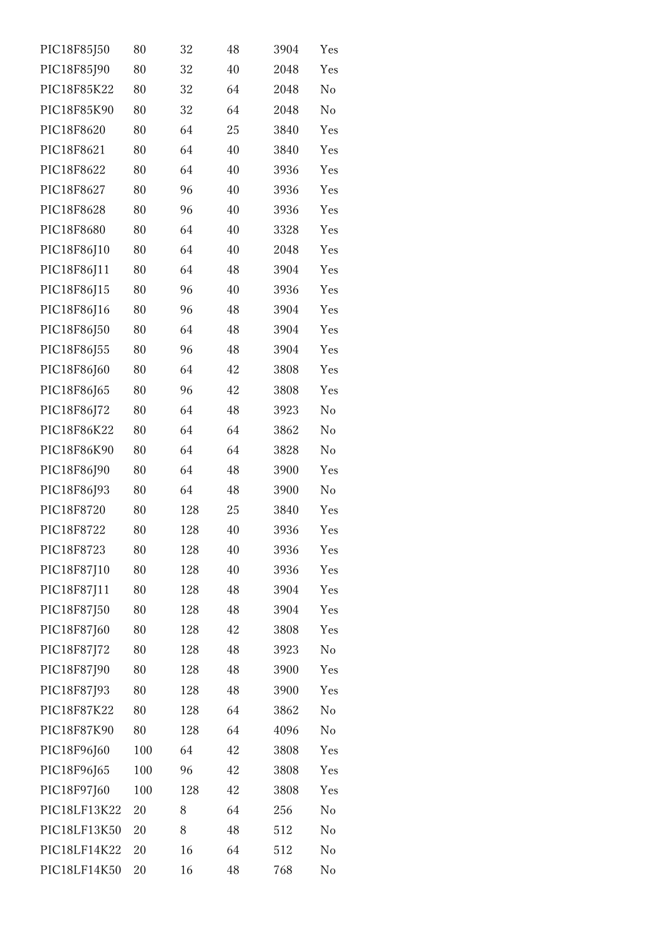| PIC18F85J50  | 80  | 32  | 48 | 3904 | Yes            |
|--------------|-----|-----|----|------|----------------|
| PIC18F85J90  | 80  | 32  | 40 | 2048 | Yes            |
| PIC18F85K22  | 80  | 32  | 64 | 2048 | No             |
| PIC18F85K90  | 80  | 32  | 64 | 2048 | N <sub>o</sub> |
| PIC18F8620   | 80  | 64  | 25 | 3840 | Yes            |
| PIC18F8621   | 80  | 64  | 40 | 3840 | Yes            |
| PIC18F8622   | 80  | 64  | 40 | 3936 | Yes            |
| PIC18F8627   | 80  | 96  | 40 | 3936 | Yes            |
| PIC18F8628   | 80  | 96  | 40 | 3936 | Yes            |
| PIC18F8680   | 80  | 64  | 40 | 3328 | Yes            |
| PIC18F86J10  | 80  | 64  | 40 | 2048 | Yes            |
| PIC18F86J11  | 80  | 64  | 48 | 3904 | Yes            |
| PIC18F86J15  | 80  | 96  | 40 | 3936 | Yes            |
| PIC18F86J16  | 80  | 96  | 48 | 3904 | Yes            |
| PIC18F86J50  | 80  | 64  | 48 | 3904 | Yes            |
| PIC18F86J55  | 80  | 96  | 48 | 3904 | Yes            |
| PIC18F86J60  | 80  | 64  | 42 | 3808 | Yes            |
| PIC18F86J65  | 80  | 96  | 42 | 3808 | Yes            |
| PIC18F86J72  | 80  | 64  | 48 | 3923 | No             |
| PIC18F86K22  | 80  | 64  | 64 | 3862 | No             |
| PIC18F86K90  | 80  | 64  | 64 | 3828 | No             |
| PIC18F86J90  | 80  | 64  | 48 | 3900 | Yes            |
| PIC18F86J93  | 80  | 64  | 48 | 3900 | No             |
| PIC18F8720   | 80  | 128 | 25 | 3840 | Yes            |
| PIC18F8722   | 80  | 128 | 40 | 3936 | Yes            |
| PIC18F8723   | 80  | 128 | 40 | 3936 | Yes            |
| PIC18F87J10  | 80  | 128 | 40 | 3936 | Yes            |
| PIC18F87J11  | 80  | 128 | 48 | 3904 | Yes            |
| PIC18F87J50  | 80  | 128 | 48 | 3904 | Yes            |
| PIC18F87J60  | 80  | 128 | 42 | 3808 | Yes            |
| PIC18F87J72  | 80  | 128 | 48 | 3923 | N <sub>o</sub> |
| PIC18F87J90  | 80  | 128 | 48 | 3900 | Yes            |
| PIC18F87J93  | 80  | 128 | 48 | 3900 | Yes            |
| PIC18F87K22  | 80  | 128 | 64 | 3862 | No             |
| PIC18F87K90  | 80  | 128 | 64 | 4096 | No             |
| PIC18F96J60  | 100 | 64  | 42 | 3808 | Yes            |
| PIC18F96J65  | 100 | 96  | 42 | 3808 | Yes            |
| PIC18F97J60  | 100 | 128 | 42 | 3808 | Yes            |
| PIC18LF13K22 | 20  | 8   | 64 | 256  | No             |
| PIC18LF13K50 | 20  | 8   | 48 | 512  | No             |
| PIC18LF14K22 | 20  | 16  | 64 | 512  | No             |
| PIC18LF14K50 | 20  | 16  | 48 | 768  | $\rm No$       |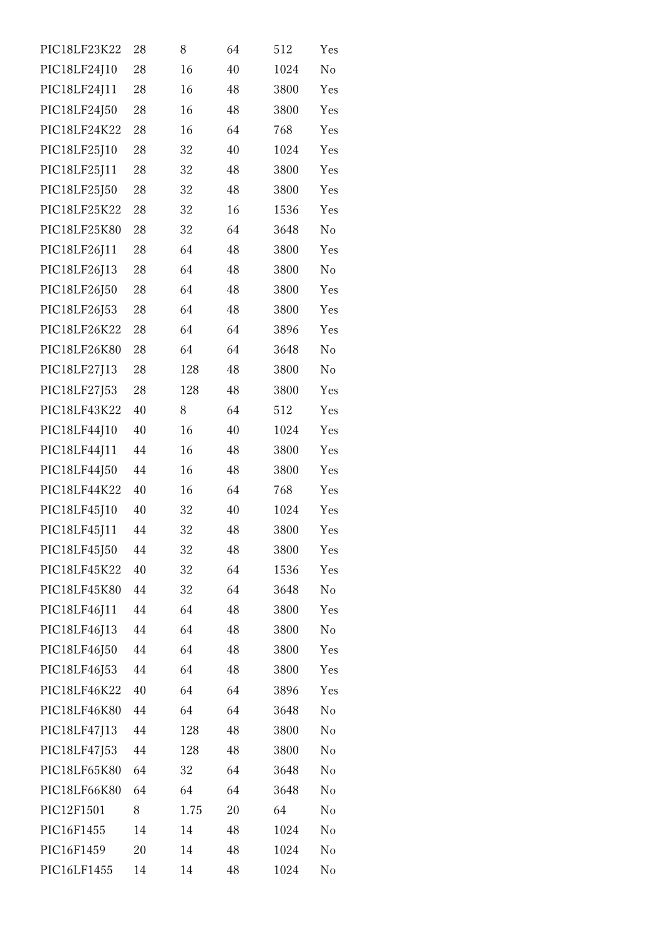| PIC18LF23K22 | 28 | 8    | 64 | 512  | Yes            |
|--------------|----|------|----|------|----------------|
| PIC18LF24J10 | 28 | 16   | 40 | 1024 | N <sub>o</sub> |
| PIC18LF24J11 | 28 | 16   | 48 | 3800 | Yes            |
| PIC18LF24J50 | 28 | 16   | 48 | 3800 | Yes            |
| PIC18LF24K22 | 28 | 16   | 64 | 768  | Yes            |
| PIC18LF25J10 | 28 | 32   | 40 | 1024 | Yes            |
| PIC18LF25J11 | 28 | 32   | 48 | 3800 | Yes            |
| PIC18LF25J50 | 28 | 32   | 48 | 3800 | Yes            |
| PIC18LF25K22 | 28 | 32   | 16 | 1536 | Yes            |
| PIC18LF25K80 | 28 | 32   | 64 | 3648 | No             |
| PIC18LF26J11 | 28 | 64   | 48 | 3800 | Yes            |
| PIC18LF26J13 | 28 | 64   | 48 | 3800 | No             |
| PIC18LF26J50 | 28 | 64   | 48 | 3800 | Yes            |
| PIC18LF26J53 | 28 | 64   | 48 | 3800 | Yes            |
| PIC18LF26K22 | 28 | 64   | 64 | 3896 | Yes            |
| PIC18LF26K80 | 28 | 64   | 64 | 3648 | N <sub>o</sub> |
| PIC18LF27J13 | 28 | 128  | 48 | 3800 | No             |
| PIC18LF27J53 | 28 | 128  | 48 | 3800 | Yes            |
| PIC18LF43K22 | 40 | 8    | 64 | 512  | Yes            |
| PIC18LF44J10 | 40 | 16   | 40 | 1024 | Yes            |
| PIC18LF44J11 | 44 | 16   | 48 | 3800 | Yes            |
| PIC18LF44J50 | 44 | 16   | 48 | 3800 | Yes            |
| PIC18LF44K22 | 40 | 16   | 64 | 768  | Yes            |
| PIC18LF45J10 | 40 | 32   | 40 | 1024 | Yes            |
| PIC18LF45J11 | 44 | 32   | 48 | 3800 | Yes            |
| PIC18LF45J50 | 44 | 32   | 48 | 3800 | Yes            |
| PIC18LF45K22 | 40 | 32   | 64 | 1536 | Yes            |
| PIC18LF45K80 | 44 | 32   | 64 | 3648 | No             |
| PIC18LF46J11 | 44 | 64   | 48 | 3800 | Yes            |
| PIC18LF46J13 | 44 | 64   | 48 | 3800 | No             |
| PIC18LF46J50 | 44 | 64   | 48 | 3800 | Yes            |
| PIC18LF46J53 | 44 | 64   | 48 | 3800 | Yes            |
| PIC18LF46K22 | 40 | 64   | 64 | 3896 | Yes            |
| PIC18LF46K80 | 44 | 64   | 64 | 3648 | No             |
| PIC18LF47J13 | 44 | 128  | 48 | 3800 | No             |
| PIC18LF47J53 | 44 | 128  | 48 | 3800 | No             |
| PIC18LF65K80 | 64 | 32   | 64 | 3648 | No             |
| PIC18LF66K80 | 64 | 64   | 64 | 3648 | No             |
| PIC12F1501   | 8  | 1.75 | 20 | 64   | No             |
| PIC16F1455   | 14 | 14   | 48 | 1024 | No             |
| PIC16F1459   | 20 | 14   | 48 | 1024 | No             |
| PIC16LF1455  | 14 | 14   | 48 | 1024 | No             |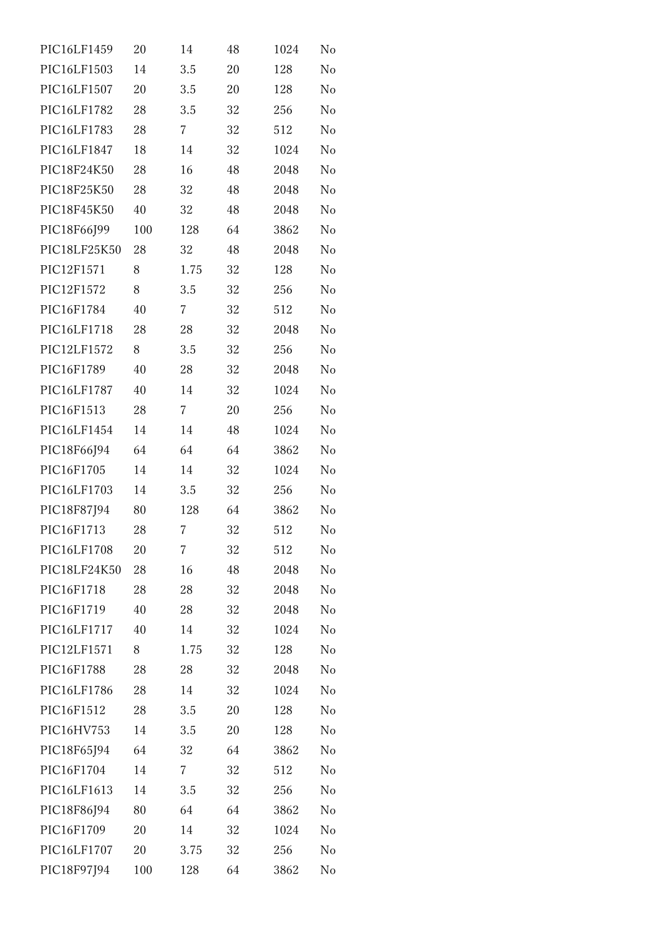| PIC16LF1459  | 20  | 14   | 48 | 1024 | No |
|--------------|-----|------|----|------|----|
| PIC16LF1503  | 14  | 3.5  | 20 | 128  | No |
| PIC16LF1507  | 20  | 3.5  | 20 | 128  | No |
| PIC16LF1782  | 28  | 3.5  | 32 | 256  | No |
| PIC16LF1783  | 28  | 7    | 32 | 512  | No |
| PIC16LF1847  | 18  | 14   | 32 | 1024 | No |
| PIC18F24K50  | 28  | 16   | 48 | 2048 | No |
| PIC18F25K50  | 28  | 32   | 48 | 2048 | No |
| PIC18F45K50  | 40  | 32   | 48 | 2048 | No |
| PIC18F66J99  | 100 | 128  | 64 | 3862 | No |
| PIC18LF25K50 | 28  | 32   | 48 | 2048 | No |
| PIC12F1571   | 8   | 1.75 | 32 | 128  | No |
| PIC12F1572   | 8   | 3.5  | 32 | 256  | No |
| PIC16F1784   | 40  | 7    | 32 | 512  | No |
| PIC16LF1718  | 28  | 28   | 32 | 2048 | No |
| PIC12LF1572  | 8   | 3.5  | 32 | 256  | No |
| PIC16F1789   | 40  | 28   | 32 | 2048 | No |
| PIC16LF1787  | 40  | 14   | 32 | 1024 | No |
| PIC16F1513   | 28  | 7    | 20 | 256  | No |
| PIC16LF1454  | 14  | 14   | 48 | 1024 | No |
| PIC18F66J94  | 64  | 64   | 64 | 3862 | No |
| PIC16F1705   | 14  | 14   | 32 | 1024 | No |
| PIC16LF1703  | 14  | 3.5  | 32 | 256  | No |
| PIC18F87J94  | 80  | 128  | 64 | 3862 | No |
| PIC16F1713   | 28  | 7    | 32 | 512  | No |
| PIC16LF1708  | 20  | 7    | 32 | 512  | No |
| PIC18LF24K50 | 28  | 16   | 48 | 2048 | No |
| PIC16F1718   | 28  | 28   | 32 | 2048 | No |
| PIC16F1719   | 40  | 28   | 32 | 2048 | No |
| PIC16LF1717  | 40  | 14   | 32 | 1024 | No |
| PIC12LF1571  | 8   | 1.75 | 32 | 128  | No |
| PIC16F1788   | 28  | 28   | 32 | 2048 | No |
| PIC16LF1786  | 28  | 14   | 32 | 1024 | No |
| PIC16F1512   | 28  | 3.5  | 20 | 128  | No |
| PIC16HV753   | 14  | 3.5  | 20 | 128  | No |
| PIC18F65J94  | 64  | 32   | 64 | 3862 | No |
| PIC16F1704   | 14  | 7    | 32 | 512  | No |
| PIC16LF1613  | 14  | 3.5  | 32 | 256  | No |
| PIC18F86J94  | 80  | 64   | 64 | 3862 | No |
| PIC16F1709   | 20  | 14   | 32 | 1024 | No |
| PIC16LF1707  | 20  | 3.75 | 32 | 256  | No |
| PIC18F97J94  | 100 | 128  | 64 | 3862 | No |